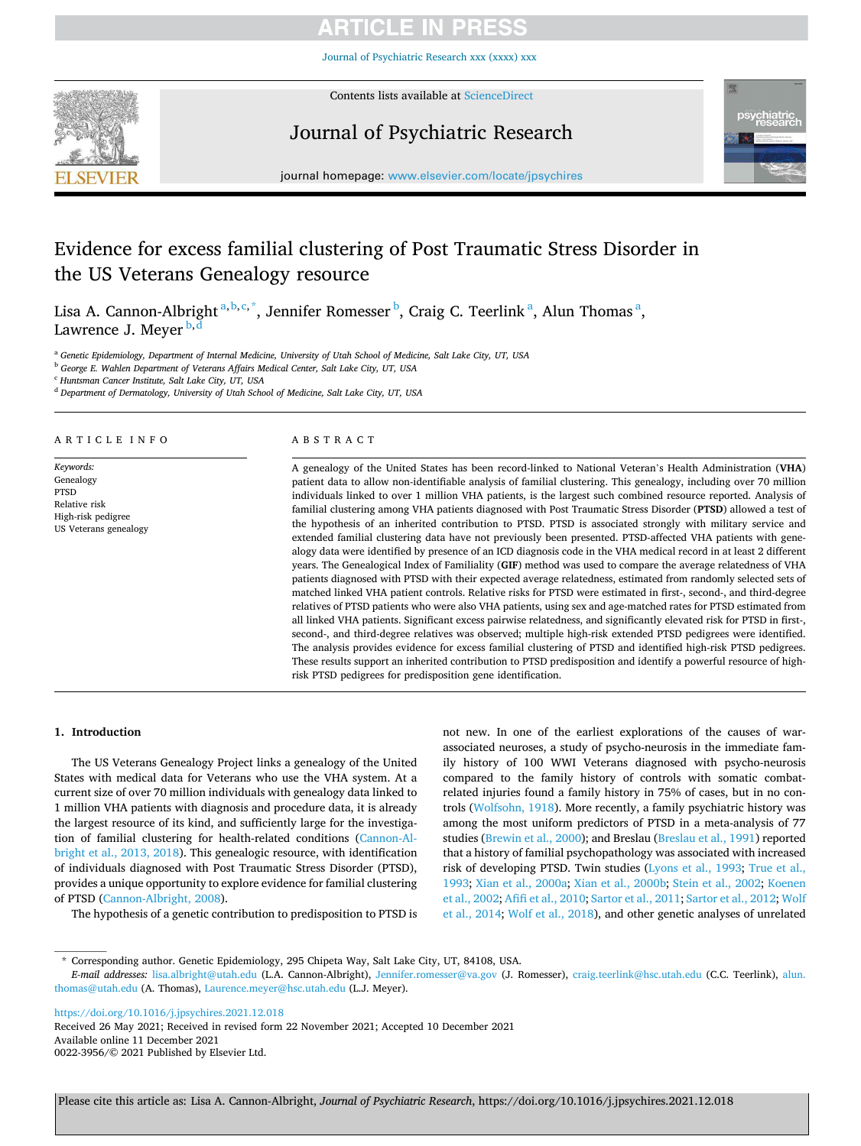Journal of Psychiatric [Re](https://doi.org/10.1016/j.jpsychires.2021.12.018)search xxx (xxxx) xxx



Contents lists available at [ScienceDirect](www.sciencedirect.com/science/journal/00223956)

# Journal of Psychiatric Research



journal homepage: [www.elsevier.com/locate/jpsychires](https://www.elsevier.com/locate/jpsychires)

# Evidence for excess familial clustering of Post Traumatic Stress Disorder in the US Veterans Genealogy resource

Lisa A. Cannon-Albright <sup>a, b, c, \*</sup>, Jennifer Romesser <sup>b</sup>, Craig C. Teerlink <sup>a</sup>, Alun Thomas <sup>a</sup>, Lawrence J. Meyer  $b, d$ 

<sup>a</sup> *Genetic Epidemiology, Department of Internal Medicine, University of Utah School of Medicine, Salt Lake City, UT, USA* 

<sup>b</sup> *George E. Wahlen Department of Veterans Affairs Medical Center, Salt Lake City, UT, USA* 

<sup>c</sup> *Huntsman Cancer Institute, Salt Lake City, UT, USA* 

<sup>d</sup> *Department of Dermatology, University of Utah School of Medicine, Salt Lake City, UT, USA* 

A R T I C L E I N F O

*Keywords:*  Genealogy PTSD Relative risk High-risk pedigree US Veterans genealogy

### ABSTRACT

A genealogy of the United States has been record-linked to National Veteran's Health Administration (**VHA**) patient data to allow non-identifiable analysis of familial clustering. This genealogy, including over 70 million individuals linked to over 1 million VHA patients, is the largest such combined resource reported. Analysis of familial clustering among VHA patients diagnosed with Post Traumatic Stress Disorder (**PTSD**) allowed a test of the hypothesis of an inherited contribution to PTSD. PTSD is associated strongly with military service and extended familial clustering data have not previously been presented. PTSD-affected VHA patients with genealogy data were identified by presence of an ICD diagnosis code in the VHA medical record in at least 2 different years. The Genealogical Index of Familiality (**GIF**) method was used to compare the average relatedness of VHA patients diagnosed with PTSD with their expected average relatedness, estimated from randomly selected sets of matched linked VHA patient controls. Relative risks for PTSD were estimated in first-, second-, and third-degree relatives of PTSD patients who were also VHA patients, using sex and age-matched rates for PTSD estimated from all linked VHA patients. Significant excess pairwise relatedness, and significantly elevated risk for PTSD in first-, second-, and third-degree relatives was observed; multiple high-risk extended PTSD pedigrees were identified. The analysis provides evidence for excess familial clustering of PTSD and identified high-risk PTSD pedigrees. These results support an inherited contribution to PTSD predisposition and identify a powerful resource of highrisk PTSD pedigrees for predisposition gene identification.

#### **1. Introduction**

The US Veterans Genealogy Project links a genealogy of the United States with medical data for Veterans who use the VHA system. At a current size of over 70 million individuals with genealogy data linked to 1 million VHA patients with diagnosis and procedure data, it is already the largest resource of its kind, and sufficiently large for the investigation of familial clustering for health-related conditions ([Cannon-Al](#page-4-0)[bright et al., 2013, 2018](#page-4-0)). This genealogic resource, with identification of individuals diagnosed with Post Traumatic Stress Disorder (PTSD), provides a unique opportunity to explore evidence for familial clustering of PTSD [\(Cannon-Albright, 2008\)](#page-4-0).

The hypothesis of a genetic contribution to predisposition to PTSD is

not new. In one of the earliest explorations of the causes of warassociated neuroses, a study of psycho-neurosis in the immediate family history of 100 WWI Veterans diagnosed with psycho-neurosis compared to the family history of controls with somatic combatrelated injuries found a family history in 75% of cases, but in no controls ([Wolfsohn, 1918\)](#page-5-0). More recently, a family psychiatric history was among the most uniform predictors of PTSD in a meta-analysis of 77 studies ([Brewin et al., 2000](#page-4-0)); and Breslau [\(Breslau et al., 1991\)](#page-4-0) reported that a history of familial psychopathology was associated with increased risk of developing PTSD. Twin studies ([Lyons et al., 1993](#page-5-0); [True et al.,](#page-5-0)  [1993; Xian et al., 2000a; Xian et al., 2000b;](#page-5-0) [Stein et al., 2002;](#page-5-0) [Koenen](#page-4-0)  [et al., 2002](#page-4-0); [Afifi et al., 2010](#page-4-0); [Sartor et al., 2011](#page-5-0); [Sartor et al., 2012](#page-5-0); [Wolf](#page-5-0)  [et al., 2014; Wolf et al., 2018\)](#page-5-0), and other genetic analyses of unrelated

<https://doi.org/10.1016/j.jpsychires.2021.12.018>

Available online 11 December 2021 0022-3956/© 2021 Published by Elsevier Ltd. Received 26 May 2021; Received in revised form 22 November 2021; Accepted 10 December 2021

<sup>\*</sup> Corresponding author. Genetic Epidemiology, 295 Chipeta Way, Salt Lake City, UT, 84108, USA.

*E-mail addresses:* [lisa.albright@utah.edu](mailto:lisa.albright@utah.edu) (L.A. Cannon-Albright), [Jennifer.romesser@va.gov](mailto:Jennifer.romesser@va.gov) (J. Romesser), [craig.teerlink@hsc.utah.edu](mailto:craig.teerlink@hsc.utah.edu) (C.C. Teerlink), [alun.](mailto:alun.thomas@utah.edu)  [thomas@utah.edu](mailto:alun.thomas@utah.edu) (A. Thomas), [Laurence.meyer@hsc.utah.edu](mailto:Laurence.meyer@hsc.utah.edu) (L.J. Meyer).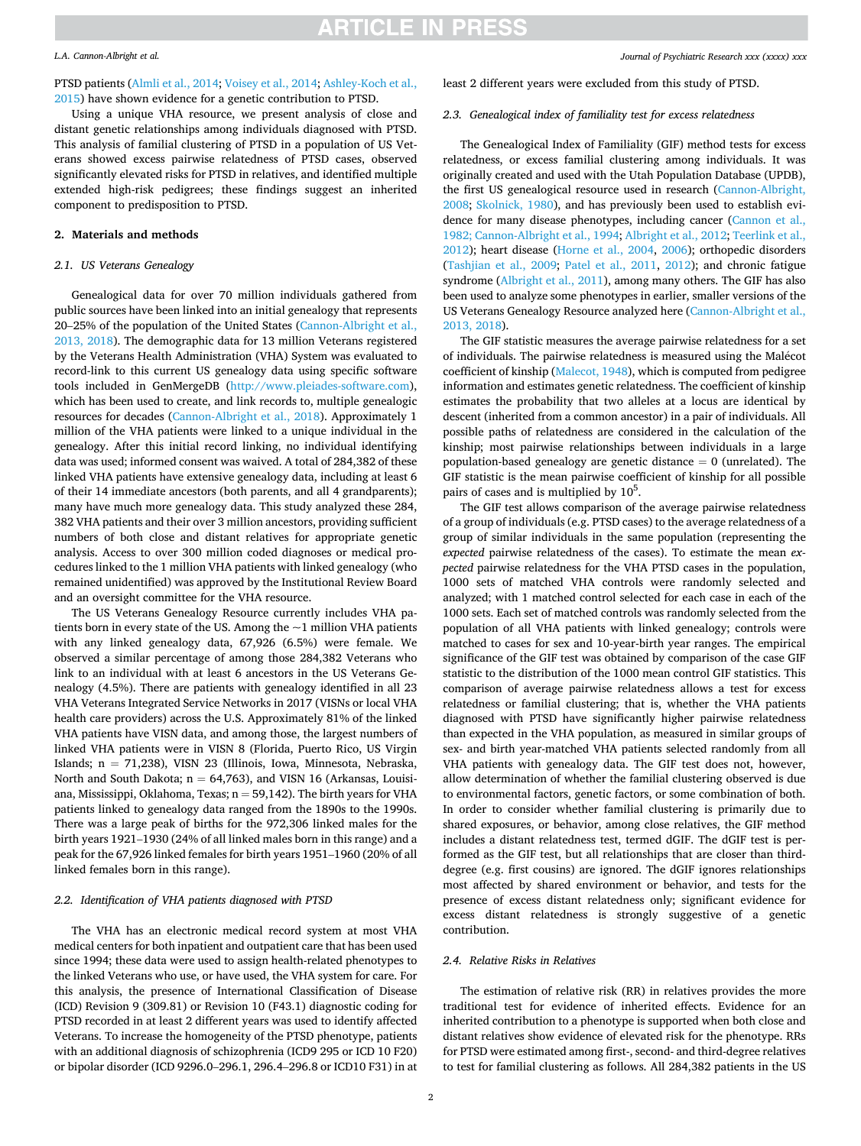#### *L.A. Cannon-Albright et al.*

## PTSD patients [\(Almli et al., 2014](#page-4-0); [Voisey et al., 2014;](#page-5-0) [Ashley-Koch et al.,](#page-4-0)

[2015\)](#page-4-0) have shown evidence for a genetic contribution to PTSD.

Using a unique VHA resource, we present analysis of close and distant genetic relationships among individuals diagnosed with PTSD. This analysis of familial clustering of PTSD in a population of US Veterans showed excess pairwise relatedness of PTSD cases, observed significantly elevated risks for PTSD in relatives, and identified multiple extended high-risk pedigrees; these findings suggest an inherited component to predisposition to PTSD.

### **2. Materials and methods**

### *2.1. US Veterans Genealogy*

Genealogical data for over 70 million individuals gathered from public sources have been linked into an initial genealogy that represents 20–25% of the population of the United States ([Cannon-Albright et al.,](#page-4-0)  [2013, 2018](#page-4-0)). The demographic data for 13 million Veterans registered by the Veterans Health Administration (VHA) System was evaluated to record-link to this current US genealogy data using specific software tools included in GenMergeDB [\(http://www.pleiades-software.com](http://www.pleiades-software.com)), which has been used to create, and link records to, multiple genealogic resources for decades [\(Cannon-Albright et al., 2018](#page-4-0)). Approximately 1 million of the VHA patients were linked to a unique individual in the genealogy. After this initial record linking, no individual identifying data was used; informed consent was waived. A total of 284,382 of these linked VHA patients have extensive genealogy data, including at least 6 of their 14 immediate ancestors (both parents, and all 4 grandparents); many have much more genealogy data. This study analyzed these 284, 382 VHA patients and their over 3 million ancestors, providing sufficient numbers of both close and distant relatives for appropriate genetic analysis. Access to over 300 million coded diagnoses or medical procedures linked to the 1 million VHA patients with linked genealogy (who remained unidentified) was approved by the Institutional Review Board and an oversight committee for the VHA resource.

The US Veterans Genealogy Resource currently includes VHA patients born in every state of the US. Among the  $\sim$  1 million VHA patients with any linked genealogy data, 67,926 (6.5%) were female. We observed a similar percentage of among those 284,382 Veterans who link to an individual with at least 6 ancestors in the US Veterans Genealogy (4.5%). There are patients with genealogy identified in all 23 VHA Veterans Integrated Service Networks in 2017 (VISNs or local VHA health care providers) across the U.S. Approximately 81% of the linked VHA patients have VISN data, and among those, the largest numbers of linked VHA patients were in VISN 8 (Florida, Puerto Rico, US Virgin Islands; n = 71,238), VISN 23 (Illinois, Iowa, Minnesota, Nebraska, North and South Dakota;  $n = 64,763$ ), and VISN 16 (Arkansas, Louisiana, Mississippi, Oklahoma, Texas;  $n = 59,142$ ). The birth years for VHA patients linked to genealogy data ranged from the 1890s to the 1990s. There was a large peak of births for the 972,306 linked males for the birth years 1921–1930 (24% of all linked males born in this range) and a peak for the 67,926 linked females for birth years 1951–1960 (20% of all linked females born in this range).

### *2.2. Identification of VHA patients diagnosed with PTSD*

The VHA has an electronic medical record system at most VHA medical centers for both inpatient and outpatient care that has been used since 1994; these data were used to assign health-related phenotypes to the linked Veterans who use, or have used, the VHA system for care. For this analysis, the presence of International Classification of Disease (ICD) Revision 9 (309.81) or Revision 10 (F43.1) diagnostic coding for PTSD recorded in at least 2 different years was used to identify affected Veterans. To increase the homogeneity of the PTSD phenotype, patients with an additional diagnosis of schizophrenia (ICD9 295 or ICD 10 F20) or bipolar disorder (ICD 9296.0–296.1, 296.4–296.8 or ICD10 F31) in at

#### least 2 different years were excluded from this study of PTSD.

#### *2.3. Genealogical index of familiality test for excess relatedness*

The Genealogical Index of Familiality (GIF) method tests for excess relatedness, or excess familial clustering among individuals. It was originally created and used with the Utah Population Database (UPDB), the first US genealogical resource used in research ([Cannon-Albright,](#page-4-0)  [2008;](#page-4-0) [Skolnick, 1980\)](#page-5-0), and has previously been used to establish evidence for many disease phenotypes, including cancer ([Cannon et al.,](#page-4-0)  [1982; Cannon-Albright et al., 1994](#page-4-0); [Albright et al., 2012;](#page-4-0) [Teerlink et al.,](#page-5-0)  [2012\)](#page-5-0); heart disease ([Horne et al., 2004](#page-4-0), [2006\)](#page-4-0); orthopedic disorders ([Tashjian et al., 2009](#page-5-0); [Patel et al., 2011,](#page-5-0) [2012](#page-5-0)); and chronic fatigue syndrome [\(Albright et al., 2011\)](#page-4-0), among many others. The GIF has also been used to analyze some phenotypes in earlier, smaller versions of the US Veterans Genealogy Resource analyzed here ([Cannon-Albright et al.,](#page-4-0)  [2013, 2018](#page-4-0)).

The GIF statistic measures the average pairwise relatedness for a set of individuals. The pairwise relatedness is measured using the Malécot coefficient of kinship [\(Malecot, 1948](#page-5-0)), which is computed from pedigree information and estimates genetic relatedness. The coefficient of kinship estimates the probability that two alleles at a locus are identical by descent (inherited from a common ancestor) in a pair of individuals. All possible paths of relatedness are considered in the calculation of the kinship; most pairwise relationships between individuals in a large population-based genealogy are genetic distance  $= 0$  (unrelated). The GIF statistic is the mean pairwise coefficient of kinship for all possible pairs of cases and is multiplied by  $10<sup>5</sup>$ .

The GIF test allows comparison of the average pairwise relatedness of a group of individuals (e.g. PTSD cases) to the average relatedness of a group of similar individuals in the same population (representing the *expected* pairwise relatedness of the cases). To estimate the mean *expected* pairwise relatedness for the VHA PTSD cases in the population, 1000 sets of matched VHA controls were randomly selected and analyzed; with 1 matched control selected for each case in each of the 1000 sets. Each set of matched controls was randomly selected from the population of all VHA patients with linked genealogy; controls were matched to cases for sex and 10-year-birth year ranges. The empirical significance of the GIF test was obtained by comparison of the case GIF statistic to the distribution of the 1000 mean control GIF statistics. This comparison of average pairwise relatedness allows a test for excess relatedness or familial clustering; that is, whether the VHA patients diagnosed with PTSD have significantly higher pairwise relatedness than expected in the VHA population, as measured in similar groups of sex- and birth year-matched VHA patients selected randomly from all VHA patients with genealogy data. The GIF test does not, however, allow determination of whether the familial clustering observed is due to environmental factors, genetic factors, or some combination of both. In order to consider whether familial clustering is primarily due to shared exposures, or behavior, among close relatives, the GIF method includes a distant relatedness test, termed dGIF. The dGIF test is performed as the GIF test, but all relationships that are closer than thirddegree (e.g. first cousins) are ignored. The dGIF ignores relationships most affected by shared environment or behavior, and tests for the presence of excess distant relatedness only; significant evidence for excess distant relatedness is strongly suggestive of a genetic contribution.

#### *2.4. Relative Risks in Relatives*

The estimation of relative risk (RR) in relatives provides the more traditional test for evidence of inherited effects. Evidence for an inherited contribution to a phenotype is supported when both close and distant relatives show evidence of elevated risk for the phenotype. RRs for PTSD were estimated among first-, second- and third-degree relatives to test for familial clustering as follows. All 284,382 patients in the US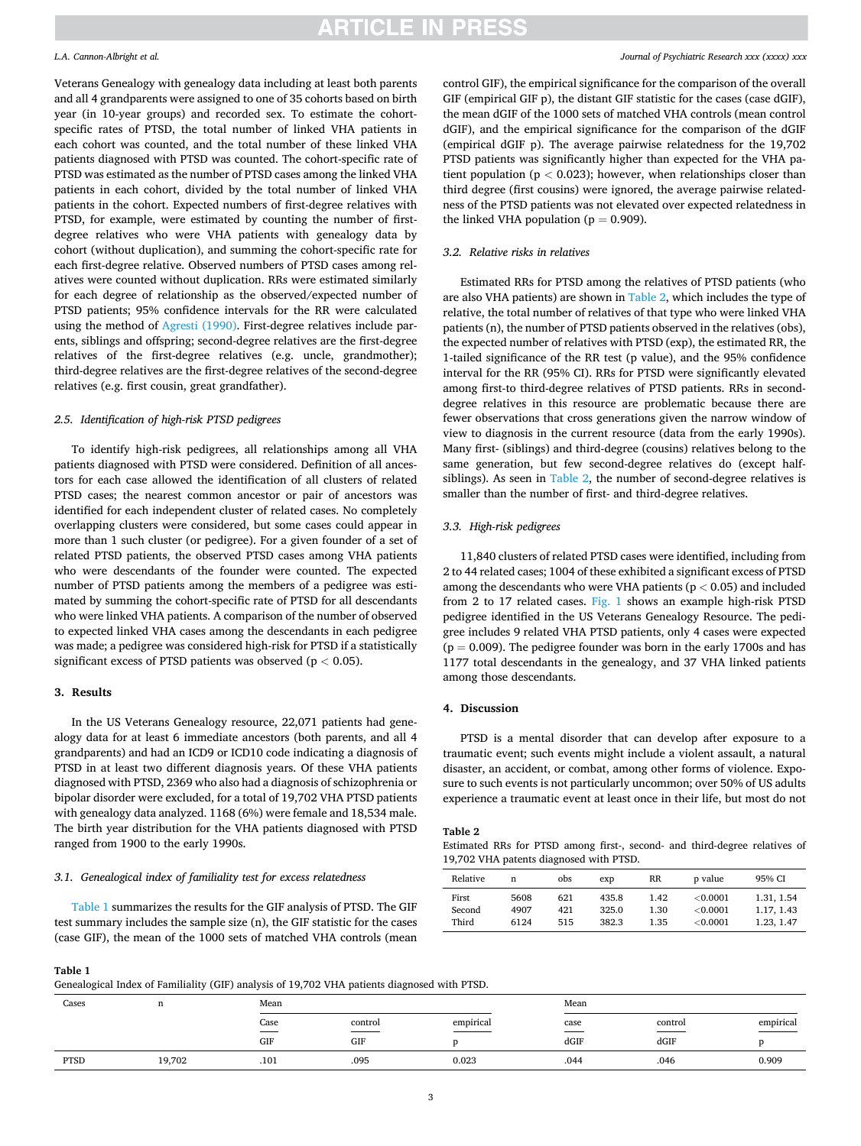#### *L.A. Cannon-Albright et al.*

Veterans Genealogy with genealogy data including at least both parents and all 4 grandparents were assigned to one of 35 cohorts based on birth year (in 10-year groups) and recorded sex. To estimate the cohortspecific rates of PTSD, the total number of linked VHA patients in each cohort was counted, and the total number of these linked VHA patients diagnosed with PTSD was counted. The cohort-specific rate of PTSD was estimated as the number of PTSD cases among the linked VHA patients in each cohort, divided by the total number of linked VHA patients in the cohort. Expected numbers of first-degree relatives with PTSD, for example, were estimated by counting the number of firstdegree relatives who were VHA patients with genealogy data by cohort (without duplication), and summing the cohort-specific rate for each first-degree relative. Observed numbers of PTSD cases among relatives were counted without duplication. RRs were estimated similarly for each degree of relationship as the observed/expected number of PTSD patients; 95% confidence intervals for the RR were calculated using the method of [Agresti \(1990\).](#page-4-0) First-degree relatives include parents, siblings and offspring; second-degree relatives are the first-degree relatives of the first-degree relatives (e.g. uncle, grandmother); third-degree relatives are the first-degree relatives of the second-degree relatives (e.g. first cousin, great grandfather).

#### *2.5. Identification of high-risk PTSD pedigrees*

To identify high-risk pedigrees, all relationships among all VHA patients diagnosed with PTSD were considered. Definition of all ancestors for each case allowed the identification of all clusters of related PTSD cases; the nearest common ancestor or pair of ancestors was identified for each independent cluster of related cases. No completely overlapping clusters were considered, but some cases could appear in more than 1 such cluster (or pedigree). For a given founder of a set of related PTSD patients, the observed PTSD cases among VHA patients who were descendants of the founder were counted. The expected number of PTSD patients among the members of a pedigree was estimated by summing the cohort-specific rate of PTSD for all descendants who were linked VHA patients. A comparison of the number of observed to expected linked VHA cases among the descendants in each pedigree was made; a pedigree was considered high-risk for PTSD if a statistically significant excess of PTSD patients was observed (p *<* 0.05).

#### **3. Results**

In the US Veterans Genealogy resource, 22,071 patients had genealogy data for at least 6 immediate ancestors (both parents, and all 4 grandparents) and had an ICD9 or ICD10 code indicating a diagnosis of PTSD in at least two different diagnosis years. Of these VHA patients diagnosed with PTSD, 2369 who also had a diagnosis of schizophrenia or bipolar disorder were excluded, for a total of 19,702 VHA PTSD patients with genealogy data analyzed. 1168 (6%) were female and 18,534 male. The birth year distribution for the VHA patients diagnosed with PTSD ranged from 1900 to the early 1990s.

#### *3.1. Genealogical index of familiality test for excess relatedness*

Table 1 summarizes the results for the GIF analysis of PTSD. The GIF test summary includes the sample size (n), the GIF statistic for the cases (case GIF), the mean of the 1000 sets of matched VHA controls (mean control GIF), the empirical significance for the comparison of the overall GIF (empirical GIF p), the distant GIF statistic for the cases (case dGIF), the mean dGIF of the 1000 sets of matched VHA controls (mean control dGIF), and the empirical significance for the comparison of the dGIF (empirical dGIF p). The average pairwise relatedness for the 19,702 PTSD patients was significantly higher than expected for the VHA patient population (p *<* 0.023); however, when relationships closer than third degree (first cousins) were ignored, the average pairwise relatedness of the PTSD patients was not elevated over expected relatedness in the linked VHA population ( $p = 0.909$ ).

### *3.2. Relative risks in relatives*

Estimated RRs for PTSD among the relatives of PTSD patients (who are also VHA patients) are shown in Table 2, which includes the type of relative, the total number of relatives of that type who were linked VHA patients (n), the number of PTSD patients observed in the relatives (obs), the expected number of relatives with PTSD (exp), the estimated RR, the 1-tailed significance of the RR test (p value), and the 95% confidence interval for the RR (95% CI). RRs for PTSD were significantly elevated among first-to third-degree relatives of PTSD patients. RRs in seconddegree relatives in this resource are problematic because there are fewer observations that cross generations given the narrow window of view to diagnosis in the current resource (data from the early 1990s). Many first- (siblings) and third-degree (cousins) relatives belong to the same generation, but few second-degree relatives do (except halfsiblings). As seen in Table 2, the number of second-degree relatives is smaller than the number of first- and third-degree relatives.

### *3.3. High-risk pedigrees*

11,840 clusters of related PTSD cases were identified, including from 2 to 44 related cases; 1004 of these exhibited a significant excess of PTSD among the descendants who were VHA patients (p *<* 0.05) and included from 2 to 17 related cases. [Fig. 1](#page-3-0) shows an example high-risk PTSD pedigree identified in the US Veterans Genealogy Resource. The pedigree includes 9 related VHA PTSD patients, only 4 cases were expected  $(p = 0.009)$ . The pedigree founder was born in the early 1700s and has 1177 total descendants in the genealogy, and 37 VHA linked patients among those descendants.

#### **4. Discussion**

PTSD is a mental disorder that can develop after exposure to a traumatic event; such events might include a violent assault, a natural disaster, an accident, or combat, among other forms of violence. Exposure to such events is not particularly uncommon; over 50% of US adults experience a traumatic event at least once in their life, but most do not

#### **Table 2**

Estimated RRs for PTSD among first-, second- and third-degree relatives of 19,702 VHA patents diagnosed with PTSD.

| Relative | n    | obs | exp   | RR   | p value  | 95% CI     |
|----------|------|-----|-------|------|----------|------------|
| First    | 5608 | 621 | 435.8 | 1.42 | < 0.0001 | 1.31, 1.54 |
| Second   | 4907 | 421 | 325.0 | 1.30 | < 0.0001 | 1.17, 1.43 |
| Third    | 6124 | 515 | 382.3 | 1.35 | < 0.0001 | 1.23, 1.47 |

**Table 1** 

Genealogical Index of Familiality (GIF) analysis of 19,702 VHA patients diagnosed with PTSD.

| Cases       | n      | Mean                  |                                            |           |              | Mean                                           |                                    |  |
|-------------|--------|-----------------------|--------------------------------------------|-----------|--------------|------------------------------------------------|------------------------------------|--|
|             |        | Case<br>$\sim$<br>GIF | control<br>$\overline{\phantom{a}}$<br>GIF | empirical | case<br>dGIF | control<br>$\overline{\phantom{a}}$<br>$d$ GIF | empirical<br>میں ساتھ ہے۔<br>مناسب |  |
| <b>PTSD</b> | 19,702 | .101                  | .095                                       | 0.023     | .044         | .046                                           | 0.909                              |  |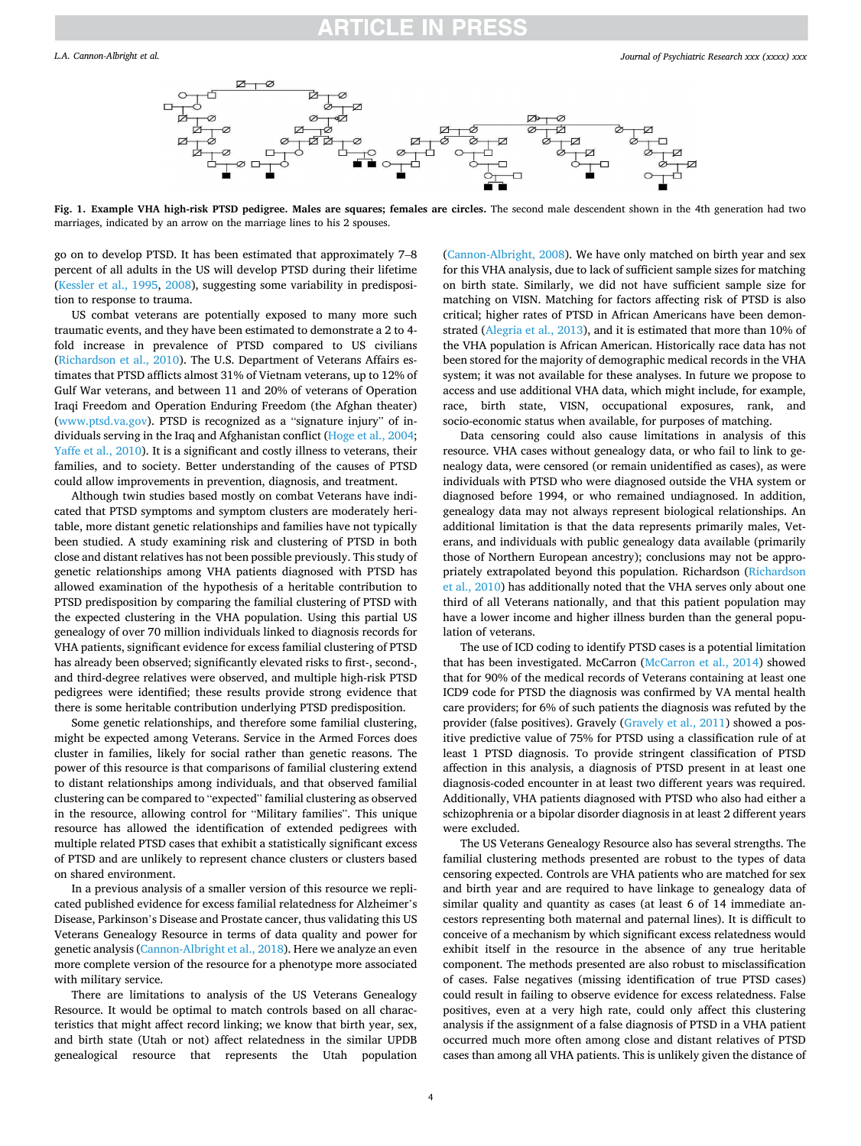<span id="page-3-0"></span>

**Fig. 1. Example VHA high-risk PTSD pedigree. Males are squares; females are circles.** The second male descendent shown in the 4th generation had two marriages, indicated by an arrow on the marriage lines to his 2 spouses.

go on to develop PTSD. It has been estimated that approximately 7–8 percent of all adults in the US will develop PTSD during their lifetime ([Kessler et al., 1995](#page-4-0), [2008](#page-4-0)), suggesting some variability in predisposition to response to trauma.

US combat veterans are potentially exposed to many more such traumatic events, and they have been estimated to demonstrate a 2 to 4 fold increase in prevalence of PTSD compared to US civilians ([Richardson et al., 2010](#page-5-0)). The U.S. Department of Veterans Affairs estimates that PTSD afflicts almost 31% of Vietnam veterans, up to 12% of Gulf War veterans, and between 11 and 20% of veterans of Operation Iraqi Freedom and Operation Enduring Freedom (the Afghan theater) ([www.ptsd.va.gov\)](http://www.ptsd.va.gov). PTSD is recognized as a "signature injury" of individuals serving in the Iraq and Afghanistan conflict [\(Hoge et al., 2004](#page-4-0); [Yaffe et al., 2010\)](#page-5-0). It is a significant and costly illness to veterans, their families, and to society. Better understanding of the causes of PTSD could allow improvements in prevention, diagnosis, and treatment.

Although twin studies based mostly on combat Veterans have indicated that PTSD symptoms and symptom clusters are moderately heritable, more distant genetic relationships and families have not typically been studied. A study examining risk and clustering of PTSD in both close and distant relatives has not been possible previously. This study of genetic relationships among VHA patients diagnosed with PTSD has allowed examination of the hypothesis of a heritable contribution to PTSD predisposition by comparing the familial clustering of PTSD with the expected clustering in the VHA population. Using this partial US genealogy of over 70 million individuals linked to diagnosis records for VHA patients, significant evidence for excess familial clustering of PTSD has already been observed; significantly elevated risks to first-, second-, and third-degree relatives were observed, and multiple high-risk PTSD pedigrees were identified; these results provide strong evidence that there is some heritable contribution underlying PTSD predisposition.

Some genetic relationships, and therefore some familial clustering, might be expected among Veterans. Service in the Armed Forces does cluster in families, likely for social rather than genetic reasons. The power of this resource is that comparisons of familial clustering extend to distant relationships among individuals, and that observed familial clustering can be compared to "expected" familial clustering as observed in the resource, allowing control for "Military families". This unique resource has allowed the identification of extended pedigrees with multiple related PTSD cases that exhibit a statistically significant excess of PTSD and are unlikely to represent chance clusters or clusters based on shared environment.

In a previous analysis of a smaller version of this resource we replicated published evidence for excess familial relatedness for Alzheimer's Disease, Parkinson's Disease and Prostate cancer, thus validating this US Veterans Genealogy Resource in terms of data quality and power for genetic analysis [\(Cannon-Albright et al., 2018](#page-4-0)). Here we analyze an even more complete version of the resource for a phenotype more associated with military service.

There are limitations to analysis of the US Veterans Genealogy Resource. It would be optimal to match controls based on all characteristics that might affect record linking; we know that birth year, sex, and birth state (Utah or not) affect relatedness in the similar UPDB genealogical resource that represents the Utah population ([Cannon-Albright, 2008\)](#page-4-0). We have only matched on birth year and sex for this VHA analysis, due to lack of sufficient sample sizes for matching on birth state. Similarly, we did not have sufficient sample size for matching on VISN. Matching for factors affecting risk of PTSD is also critical; higher rates of PTSD in African Americans have been demonstrated [\(Alegria et al., 2013\)](#page-4-0), and it is estimated that more than 10% of the VHA population is African American. Historically race data has not been stored for the majority of demographic medical records in the VHA system; it was not available for these analyses. In future we propose to access and use additional VHA data, which might include, for example, race, birth state, VISN, occupational exposures, rank, and socio-economic status when available, for purposes of matching.

Data censoring could also cause limitations in analysis of this resource. VHA cases without genealogy data, or who fail to link to genealogy data, were censored (or remain unidentified as cases), as were individuals with PTSD who were diagnosed outside the VHA system or diagnosed before 1994, or who remained undiagnosed. In addition, genealogy data may not always represent biological relationships. An additional limitation is that the data represents primarily males, Veterans, and individuals with public genealogy data available (primarily those of Northern European ancestry); conclusions may not be appropriately extrapolated beyond this population. Richardson [\(Richardson](#page-5-0)  [et al., 2010\)](#page-5-0) has additionally noted that the VHA serves only about one third of all Veterans nationally, and that this patient population may have a lower income and higher illness burden than the general population of veterans.

The use of ICD coding to identify PTSD cases is a potential limitation that has been investigated. McCarron [\(McCarron et al., 2014](#page-5-0)) showed that for 90% of the medical records of Veterans containing at least one ICD9 code for PTSD the diagnosis was confirmed by VA mental health care providers; for 6% of such patients the diagnosis was refuted by the provider (false positives). Gravely ([Gravely et al., 2011](#page-4-0)) showed a positive predictive value of 75% for PTSD using a classification rule of at least 1 PTSD diagnosis. To provide stringent classification of PTSD affection in this analysis, a diagnosis of PTSD present in at least one diagnosis-coded encounter in at least two different years was required. Additionally, VHA patients diagnosed with PTSD who also had either a schizophrenia or a bipolar disorder diagnosis in at least 2 different years were excluded.

The US Veterans Genealogy Resource also has several strengths. The familial clustering methods presented are robust to the types of data censoring expected. Controls are VHA patients who are matched for sex and birth year and are required to have linkage to genealogy data of similar quality and quantity as cases (at least 6 of 14 immediate ancestors representing both maternal and paternal lines). It is difficult to conceive of a mechanism by which significant excess relatedness would exhibit itself in the resource in the absence of any true heritable component. The methods presented are also robust to misclassification of cases. False negatives (missing identification of true PTSD cases) could result in failing to observe evidence for excess relatedness. False positives, even at a very high rate, could only affect this clustering analysis if the assignment of a false diagnosis of PTSD in a VHA patient occurred much more often among close and distant relatives of PTSD cases than among all VHA patients. This is unlikely given the distance of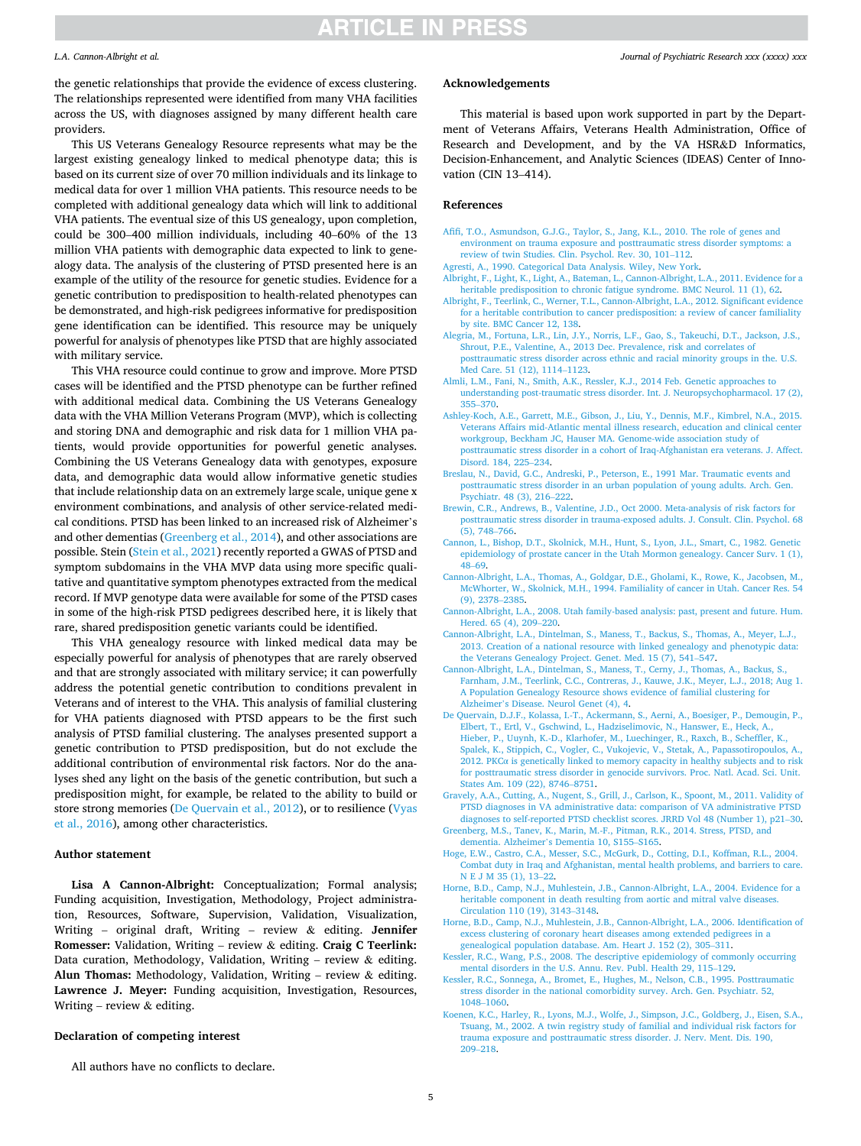#### <span id="page-4-0"></span>*L.A. Cannon-Albright et al.*

the genetic relationships that provide the evidence of excess clustering. The relationships represented were identified from many VHA facilities across the US, with diagnoses assigned by many different health care providers.

This US Veterans Genealogy Resource represents what may be the largest existing genealogy linked to medical phenotype data; this is based on its current size of over 70 million individuals and its linkage to medical data for over 1 million VHA patients. This resource needs to be completed with additional genealogy data which will link to additional VHA patients. The eventual size of this US genealogy, upon completion, could be 300–400 million individuals, including 40–60% of the 13 million VHA patients with demographic data expected to link to genealogy data. The analysis of the clustering of PTSD presented here is an example of the utility of the resource for genetic studies. Evidence for a genetic contribution to predisposition to health-related phenotypes can be demonstrated, and high-risk pedigrees informative for predisposition gene identification can be identified. This resource may be uniquely powerful for analysis of phenotypes like PTSD that are highly associated with military service.

This VHA resource could continue to grow and improve. More PTSD cases will be identified and the PTSD phenotype can be further refined with additional medical data. Combining the US Veterans Genealogy data with the VHA Million Veterans Program (MVP), which is collecting and storing DNA and demographic and risk data for 1 million VHA patients, would provide opportunities for powerful genetic analyses. Combining the US Veterans Genealogy data with genotypes, exposure data, and demographic data would allow informative genetic studies that include relationship data on an extremely large scale, unique gene x environment combinations, and analysis of other service-related medical conditions. PTSD has been linked to an increased risk of Alzheimer's and other dementias (Greenberg et al., 2014), and other associations are possible. Stein [\(Stein et al., 2021](#page-5-0)) recently reported a GWAS of PTSD and symptom subdomains in the VHA MVP data using more specific qualitative and quantitative symptom phenotypes extracted from the medical record. If MVP genotype data were available for some of the PTSD cases in some of the high-risk PTSD pedigrees described here, it is likely that rare, shared predisposition genetic variants could be identified.

This VHA genealogy resource with linked medical data may be especially powerful for analysis of phenotypes that are rarely observed and that are strongly associated with military service; it can powerfully address the potential genetic contribution to conditions prevalent in Veterans and of interest to the VHA. This analysis of familial clustering for VHA patients diagnosed with PTSD appears to be the first such analysis of PTSD familial clustering. The analyses presented support a genetic contribution to PTSD predisposition, but do not exclude the additional contribution of environmental risk factors. Nor do the analyses shed any light on the basis of the genetic contribution, but such a predisposition might, for example, be related to the ability to build or store strong memories (De Quervain et al., 2012), or to resilience ([Vyas](#page-5-0)  [et al., 2016\)](#page-5-0), among other characteristics.

#### **Author statement**

**Lisa A Cannon-Albright:** Conceptualization; Formal analysis; Funding acquisition, Investigation, Methodology, Project administration, Resources, Software, Supervision, Validation, Visualization, Writing – original draft, Writing – review & editing. **Jennifer Romesser:** Validation, Writing – review & editing. **Craig C Teerlink:**  Data curation, Methodology, Validation, Writing – review & editing. **Alun Thomas:** Methodology, Validation, Writing – review & editing. **Lawrence J. Meyer:** Funding acquisition, Investigation, Resources, Writing – review  $&$  editing.

### **Declaration of competing interest**

All authors have no conflicts to declare.

#### *Journal of Psychiatric Research xxx (xxxx) xxx*

#### **Acknowledgements**

This material is based upon work supported in part by the Department of Veterans Affairs, Veterans Health Administration, Office of Research and Development, and by the VA HSR&D Informatics, Decision-Enhancement, and Analytic Sciences (IDEAS) Center of Innovation (CIN 13–414).

#### **References**

- [Afifi, T.O., Asmundson, G.J.G., Taylor, S., Jang, K.L., 2010. The role of genes and](http://refhub.elsevier.com/S0022-3956(21)00720-2/sref1) [environment on trauma exposure and posttraumatic stress disorder symptoms: a](http://refhub.elsevier.com/S0022-3956(21)00720-2/sref1)  [review of twin Studies. Clin. Psychol. Rev. 30, 101](http://refhub.elsevier.com/S0022-3956(21)00720-2/sref1)–112.
- [Agresti, A., 1990. Categorical Data Analysis. Wiley, New York.](http://refhub.elsevier.com/S0022-3956(21)00720-2/sref2)
- [Albright, F., Light, K., Light, A., Bateman, L., Cannon-Albright, L.A., 2011. Evidence for a](http://refhub.elsevier.com/S0022-3956(21)00720-2/sref3)  [heritable predisposition to chronic fatigue syndrome. BMC Neurol. 11 \(1\), 62.](http://refhub.elsevier.com/S0022-3956(21)00720-2/sref3)
- [Albright, F., Teerlink, C., Werner, T.L., Cannon-Albright, L.A., 2012. Significant evidence](http://refhub.elsevier.com/S0022-3956(21)00720-2/sref4)  [for a heritable contribution to cancer predisposition: a review of cancer familiality](http://refhub.elsevier.com/S0022-3956(21)00720-2/sref4)  [by site. BMC Cancer 12, 138](http://refhub.elsevier.com/S0022-3956(21)00720-2/sref4).
- [Alegria, M., Fortuna, L.R., Lin, J.Y., Norris, L.F., Gao, S., Takeuchi, D.T., Jackson, J.S.,](http://refhub.elsevier.com/S0022-3956(21)00720-2/sref5)  [Shrout, P.E., Valentine, A., 2013 Dec. Prevalence, risk and correlates of](http://refhub.elsevier.com/S0022-3956(21)00720-2/sref5)  [posttraumatic stress disorder across ethnic and racial minority groups in the. U.S.](http://refhub.elsevier.com/S0022-3956(21)00720-2/sref5)  [Med Care. 51 \(12\), 1114](http://refhub.elsevier.com/S0022-3956(21)00720-2/sref5)–1123.
- [Almli, L.M., Fani, N., Smith, A.K., Ressler, K.J., 2014 Feb. Genetic approaches to](http://refhub.elsevier.com/S0022-3956(21)00720-2/sref6) [understanding post-traumatic stress disorder. Int. J. Neuropsychopharmacol. 17 \(2\),](http://refhub.elsevier.com/S0022-3956(21)00720-2/sref6)  355–[370](http://refhub.elsevier.com/S0022-3956(21)00720-2/sref6).
- [Ashley-Koch, A.E., Garrett, M.E., Gibson, J., Liu, Y., Dennis, M.F., Kimbrel, N.A., 2015.](http://refhub.elsevier.com/S0022-3956(21)00720-2/sref7) [Veterans Affairs mid-Atlantic mental illness research, education and clinical center](http://refhub.elsevier.com/S0022-3956(21)00720-2/sref7)  [workgroup, Beckham JC, Hauser MA. Genome-wide association study of](http://refhub.elsevier.com/S0022-3956(21)00720-2/sref7) [posttraumatic stress disorder in a cohort of Iraq-Afghanistan era veterans. J. Affect.](http://refhub.elsevier.com/S0022-3956(21)00720-2/sref7)  [Disord. 184, 225](http://refhub.elsevier.com/S0022-3956(21)00720-2/sref7)–234.
- [Breslau, N., David, G.C., Andreski, P., Peterson, E., 1991 Mar. Traumatic events and](http://refhub.elsevier.com/S0022-3956(21)00720-2/sref9) [posttraumatic stress disorder in an urban population of young adults. Arch. Gen.](http://refhub.elsevier.com/S0022-3956(21)00720-2/sref9) [Psychiatr. 48 \(3\), 216](http://refhub.elsevier.com/S0022-3956(21)00720-2/sref9)–222.
- [Brewin, C.R., Andrews, B., Valentine, J.D., Oct 2000. Meta-analysis of risk factors for](http://refhub.elsevier.com/S0022-3956(21)00720-2/sref10) [posttraumatic stress disorder in trauma-exposed adults. J. Consult. Clin. Psychol. 68](http://refhub.elsevier.com/S0022-3956(21)00720-2/sref10)  [\(5\), 748](http://refhub.elsevier.com/S0022-3956(21)00720-2/sref10)–766.
- [Cannon, L., Bishop, D.T., Skolnick, M.H., Hunt, S., Lyon, J.L., Smart, C., 1982. Genetic](http://refhub.elsevier.com/S0022-3956(21)00720-2/sref8) [epidemiology of prostate cancer in the Utah Mormon genealogy. Cancer Surv. 1 \(1\),](http://refhub.elsevier.com/S0022-3956(21)00720-2/sref8)  48–[69](http://refhub.elsevier.com/S0022-3956(21)00720-2/sref8).
- [Cannon-Albright, L.A., Thomas, A., Goldgar, D.E., Gholami, K., Rowe, K., Jacobsen, M.,](http://refhub.elsevier.com/S0022-3956(21)00720-2/sref36)  [McWhorter, W., Skolnick, M.H., 1994. Familiality of cancer in Utah. Cancer Res. 54](http://refhub.elsevier.com/S0022-3956(21)00720-2/sref36)  [\(9\), 2378](http://refhub.elsevier.com/S0022-3956(21)00720-2/sref36)–2385.
- [Cannon-Albright, L.A., 2008. Utah family-based analysis: past, present and future. Hum.](http://refhub.elsevier.com/S0022-3956(21)00720-2/sref11)  [Hered. 65 \(4\), 209](http://refhub.elsevier.com/S0022-3956(21)00720-2/sref11)–220.
- [Cannon-Albright, L.A., Dintelman, S., Maness, T., Backus, S., Thomas, A., Meyer, L.J.,](http://refhub.elsevier.com/S0022-3956(21)00720-2/sref14) [2013. Creation of a national resource with linked genealogy and phenotypic data:](http://refhub.elsevier.com/S0022-3956(21)00720-2/sref14)  [the Veterans Genealogy Project. Genet. Med. 15 \(7\), 541](http://refhub.elsevier.com/S0022-3956(21)00720-2/sref14)–547.
- [Cannon-Albright, L.A., Dintelman, S., Maness, T., Cerny, J., Thomas, A., Backus, S.,](http://refhub.elsevier.com/S0022-3956(21)00720-2/sref12)  [Farnham, J.M., Teerlink, C.C., Contreras, J., Kauwe, J.K., Meyer, L.J., 2018; Aug 1.](http://refhub.elsevier.com/S0022-3956(21)00720-2/sref12)  [A Population Genealogy Resource shows evidence of familial clustering for](http://refhub.elsevier.com/S0022-3956(21)00720-2/sref12)  Alzheimer'[s Disease. Neurol Genet \(4\), 4.](http://refhub.elsevier.com/S0022-3956(21)00720-2/sref12)
- [De Quervain, D.J.F., Kolassa, I.-T., Ackermann, S., Aerni, A., Boesiger, P., Demougin, P.,](http://refhub.elsevier.com/S0022-3956(21)00720-2/sref13)  [Elbert, T., Ertl, V., Gschwind, L., Hadziselimovic, N., Hanswer, E., Heck, A.,](http://refhub.elsevier.com/S0022-3956(21)00720-2/sref13) [Hieber, P., Uuynh, K.-D., Klarhofer, M., Luechinger, R., Raxch, B., Scheffler, K.,](http://refhub.elsevier.com/S0022-3956(21)00720-2/sref13) [Spalek, K., Stippich, C., Vogler, C., Vukojevic, V., Stetak, A., Papassotiropoulos, A.,](http://refhub.elsevier.com/S0022-3956(21)00720-2/sref13)  2012. PKCα [is genetically linked to memory capacity in healthy subjects and to risk](http://refhub.elsevier.com/S0022-3956(21)00720-2/sref13)  [for posttraumatic stress disorder in genocide survivors. Proc. Natl. Acad. Sci. Unit.](http://refhub.elsevier.com/S0022-3956(21)00720-2/sref13)  [States Am. 109 \(22\), 8746](http://refhub.elsevier.com/S0022-3956(21)00720-2/sref13)–8751.
- [Gravely, A.A., Cutting, A., Nugent, S., Grill, J., Carlson, K., Spoont, M., 2011. Validity of](http://refhub.elsevier.com/S0022-3956(21)00720-2/sref15)  [PTSD diagnoses in VA administrative data: comparison of VA administrative PTSD](http://refhub.elsevier.com/S0022-3956(21)00720-2/sref15) [diagnoses to self-reported PTSD checklist scores. JRRD Vol 48 \(Number 1\), p21](http://refhub.elsevier.com/S0022-3956(21)00720-2/sref15)–30.
- [Greenberg, M.S., Tanev, K., Marin, M.-F., Pitman, R.K., 2014. Stress, PTSD, and](http://refhub.elsevier.com/S0022-3956(21)00720-2/sref16) dementia. Alzheimer'[s Dementia 10, S155](http://refhub.elsevier.com/S0022-3956(21)00720-2/sref16)–S165.
- [Hoge, E.W., Castro, C.A., Messer, S.C., McGurk, D., Cotting, D.I., Koffman, R.L., 2004.](http://refhub.elsevier.com/S0022-3956(21)00720-2/sref17) [Combat duty in Iraq and Afghanistan, mental health problems, and barriers to care.](http://refhub.elsevier.com/S0022-3956(21)00720-2/sref17)  [N E J M 35 \(1\), 13](http://refhub.elsevier.com/S0022-3956(21)00720-2/sref17)–22.
- [Horne, B.D., Camp, N.J., Muhlestein, J.B., Cannon-Albright, L.A., 2004. Evidence for a](http://refhub.elsevier.com/S0022-3956(21)00720-2/sref18)  [heritable component in death resulting from aortic and mitral valve diseases.](http://refhub.elsevier.com/S0022-3956(21)00720-2/sref18) [Circulation 110 \(19\), 3143](http://refhub.elsevier.com/S0022-3956(21)00720-2/sref18)–3148.
- [Horne, B.D., Camp, N.J., Muhlestein, J.B., Cannon-Albright, L.A., 2006. Identification of](http://refhub.elsevier.com/S0022-3956(21)00720-2/sref19)  [excess clustering of coronary heart diseases among extended pedigrees in a](http://refhub.elsevier.com/S0022-3956(21)00720-2/sref19) [genealogical population database. Am. Heart J. 152 \(2\), 305](http://refhub.elsevier.com/S0022-3956(21)00720-2/sref19)–311.
- [Kessler, R.C., Wang, P.S., 2008. The descriptive epidemiology of commonly occurring](http://refhub.elsevier.com/S0022-3956(21)00720-2/sref20) [mental disorders in the U.S. Annu. Rev. Publ. Health 29, 115](http://refhub.elsevier.com/S0022-3956(21)00720-2/sref20)–129.
- [Kessler, R.C., Sonnega, A., Bromet, E., Hughes, M., Nelson, C.B., 1995. Posttraumatic](http://refhub.elsevier.com/S0022-3956(21)00720-2/sref21) [stress disorder in the national comorbidity survey. Arch. Gen. Psychiatr. 52,](http://refhub.elsevier.com/S0022-3956(21)00720-2/sref21)  [1048](http://refhub.elsevier.com/S0022-3956(21)00720-2/sref21)–1060.
- [Koenen, K.C., Harley, R., Lyons, M.J., Wolfe, J., Simpson, J.C., Goldberg, J., Eisen, S.A.,](http://refhub.elsevier.com/S0022-3956(21)00720-2/sref22)  [Tsuang, M., 2002. A twin registry study of familial and individual risk factors for](http://refhub.elsevier.com/S0022-3956(21)00720-2/sref22)  [trauma exposure and posttraumatic stress disorder. J. Nerv. Ment. Dis. 190,](http://refhub.elsevier.com/S0022-3956(21)00720-2/sref22)  209–[218](http://refhub.elsevier.com/S0022-3956(21)00720-2/sref22).